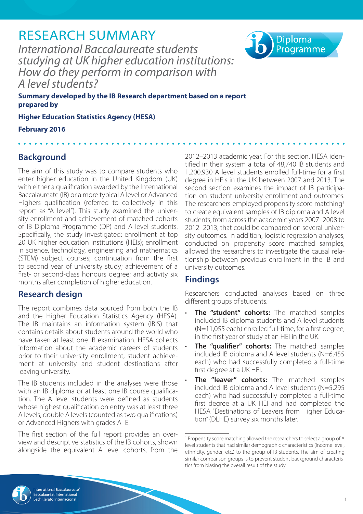# RESEARCH SUMMARY

*International Baccalaureate students studying at UK higher education institutions: How do they perform in comparison with A level students?*



**Summary developed by the IB Research department based on a report prepared by**

**Higher Education Statistics Agency (HESA)**

**February 2016**

# **Background**

The aim of this study was to compare students who enter higher education in the United Kingdom (UK) with either a qualification awarded by the International Baccalaureate (IB) or a more typical A level or Advanced Highers qualification (referred to collectively in this report as "A level"). This study examined the university enrollment and achievement of matched cohorts of IB Diploma Programme (DP) and A level students. Specifically, the study investigated: enrollment at top 20 UK higher education institutions (HEIs); enrollment in science, technology, engineering and mathematics (STEM) subject courses; continuation from the first to second year of university study; achievement of a first- or second-class honours degree; and activity six months after completion of higher education.

# **Research design**

The report combines data sourced from both the IB and the Higher Education Statistics Agency (HESA). The IB maintains an information system (IBIS) that contains details about students around the world who have taken at least one IB examination. HESA collects information about the academic careers of students prior to their university enrollment, student achievement at university and student destinations after leaving university.

The IB students included in the analyses were those with an IB diploma or at least one IB course qualification. The A level students were defined as students whose highest qualification on entry was at least three A levels, double A levels (counted as two qualifications) or Advanced Highers with grades A–E.

The first section of the full report provides an overview and descriptive statistics of the IB cohorts, shown alongside the equivalent A level cohorts, from the

2012–2013 academic year. For this section, HESA identified in their system a total of 48,740 IB students and 1,200,930 A level students enrolled full-time for a first degree in HEIs in the UK between 2007 and 2013. The second section examines the impact of IB participation on student university enrollment and outcomes. The researchers employed propensity score matching<sup>1</sup> to create equivalent samples of IB diploma and A level students, from across the academic years 2007–2008 to 2012–2013, that could be compared on several university outcomes. In addition, logistic regression analyses, conducted on propensity score matched samples, allowed the researchers to investigate the causal relationship between previous enrollment in the IB and university outcomes.

# **Findings**

Researchers conducted analyses based on three different groups of students.

- **The "student" cohorts:** The matched samples included IB diploma students and A level students (N=11,055 each) enrolled full-time, for a first degree, in the first year of study at an HEI in the UK.
- **The "qualifier" cohorts:** The matched samples included IB diploma and A level students (N=6,455 each) who had successfully completed a full-time first degree at a UK HEI.
- **The "leaver" cohorts:** The matched samples included IB diploma and A level students (N=5,295 each) who had successfully completed a full-time first degree at a UK HEI and had completed the HESA "Destinations of Leavers from Higher Education" (DLHE) survey six months later.



<sup>1</sup> Propensity score matching allowed the researchers to select a group of A level students that had similar demographic characteristics (income level, ethnicity, gender, etc.) to the group of IB students. The aim of creating similar comparison groups is to prevent student background characteristics from biasing the overall result of the study.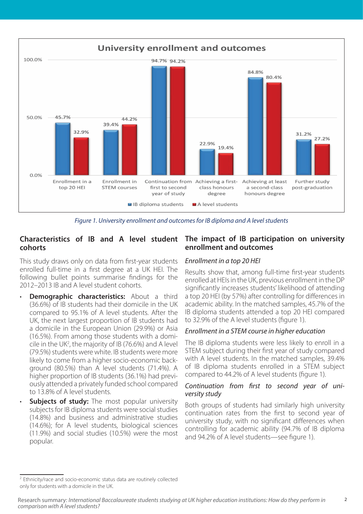

*Figure 1. University enrollment and outcomes for IB diploma and A level students*

## **Characteristics of IB and A level student cohorts**

This study draws only on data from first-year students enrolled full-time in a first degree at a UK HEI. The following bullet points summarise findings for the 2012–2013 IB and A level student cohorts.

- **Demographic characteristics:** About a third (36.6%) of IB students had their domicile in the UK compared to 95.1% of A level students. After the UK, the next largest proportion of IB students had a domicile in the European Union (29.9%) or Asia (16.5%). From among those students with a domicile in the UK2 , the majority of IB (76.6%) and A level (79.5%) students were white. IB students were more likely to come from a higher socio-economic background (80.5%) than A level students (71.4%). A higher proportion of IB students (36.1%) had previously attended a privately funded school compared to 13.8% of A level students.
- **Subjects of study:** The most popular university subjects for IB diploma students were social studies (14.8%) and business and administrative studies (14.6%); for A level students, biological sciences (11.9%) and social studies (10.5%) were the most popular.

### **The impact of IB participation on university enrollment and outcomes**

#### *Enrollment in a top 20 HEI*

Results show that, among full-time first-year students enrolled at HEIs in the UK, previous enrollment in the DP significantly increases students' likelihood of attending a top 20 HEI (by 57%) after controlling for differences in academic ability. In the matched samples, 45.7% of the IB diploma students attended a top 20 HEI compared to 32.9% of the A level students (figure 1).

### *Enrollment in a STEM course in higher education*

The IB diploma students were less likely to enroll in a STEM subject during their first year of study compared with A level students. In the matched samples, 39.4% of IB diploma students enrolled in a STEM subject compared to 44.2% of A level students (figure 1).

#### *Continuation from first to second year of university study*

Both groups of students had similarly high university continuation rates from the first to second year of university study, with no significant differences when controlling for academic ability (94.7% of IB diploma and 94.2% of A level students—see figure 1).

<sup>&</sup>lt;sup>2</sup> Ethnicity/race and socio-economic status data are routinely collected only for students with a domicile in the UK.